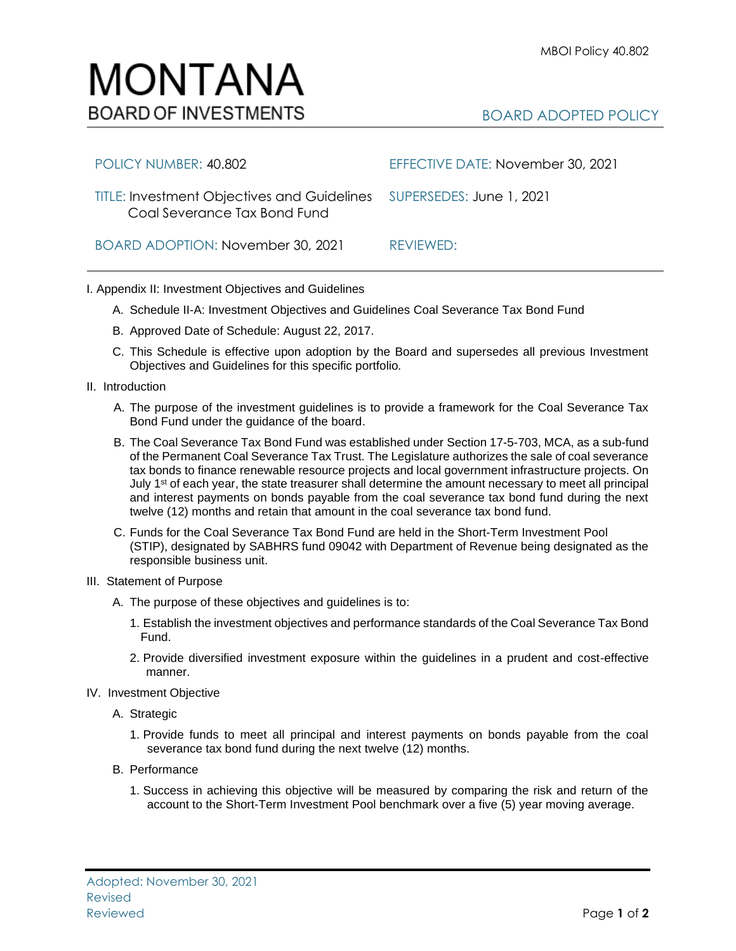## MONTANA **BOARD OF INVESTMENTS**

## BOARD ADOPTED POLICY

| POLICY NUMBER: 40.802                                                                                 | EFFECTIVE DATE: November 30, 2021 |
|-------------------------------------------------------------------------------------------------------|-----------------------------------|
| TITLE: Investment Objectives and Guidelines  SUPERSEDES: June 1, 2021<br>Coal Severance Tax Bond Fund |                                   |
| BOARD ADOPTION: November 30, 2021                                                                     | REVIEWED:                         |

## I. Appendix II: Investment Objectives and Guidelines

- A. Schedule II-A: Investment Objectives and Guidelines Coal Severance Tax Bond Fund
- B. Approved Date of Schedule: August 22, 2017.
- C. This Schedule is effective upon adoption by the Board and supersedes all previous Investment Objectives and Guidelines for this specific portfolio*.*
- II. Introduction
	- A. The purpose of the investment guidelines is to provide a framework for the Coal Severance Tax Bond Fund under the guidance of the board.
	- B. The Coal Severance Tax Bond Fund was established under Section 17-5-703, MCA, as a sub-fund of the Permanent Coal Severance Tax Trust. The Legislature authorizes the sale of coal severance tax bonds to finance renewable resource projects and local government infrastructure projects. On July 1<sup>st</sup> of each year, the state treasurer shall determine the amount necessary to meet all principal and interest payments on bonds payable from the coal severance tax bond fund during the next twelve (12) months and retain that amount in the coal severance tax bond fund.
	- C. Funds for the Coal Severance Tax Bond Fund are held in the Short-Term Investment Pool (STIP), designated by SABHRS fund 09042 with Department of Revenue being designated as the responsible business unit.
- III. Statement of Purpose
	- A. The purpose of these objectives and guidelines is to:
		- 1. Establish the investment objectives and performance standards of the Coal Severance Tax Bond Fund.
		- 2. Provide diversified investment exposure within the guidelines in a prudent and cost-effective manner.
- IV. Investment Objective
	- A. Strategic
		- 1. Provide funds to meet all principal and interest payments on bonds payable from the coal severance tax bond fund during the next twelve (12) months.
	- B. Performance
		- 1. Success in achieving this objective will be measured by comparing the risk and return of the account to the Short-Term Investment Pool benchmark over a five (5) year moving average.